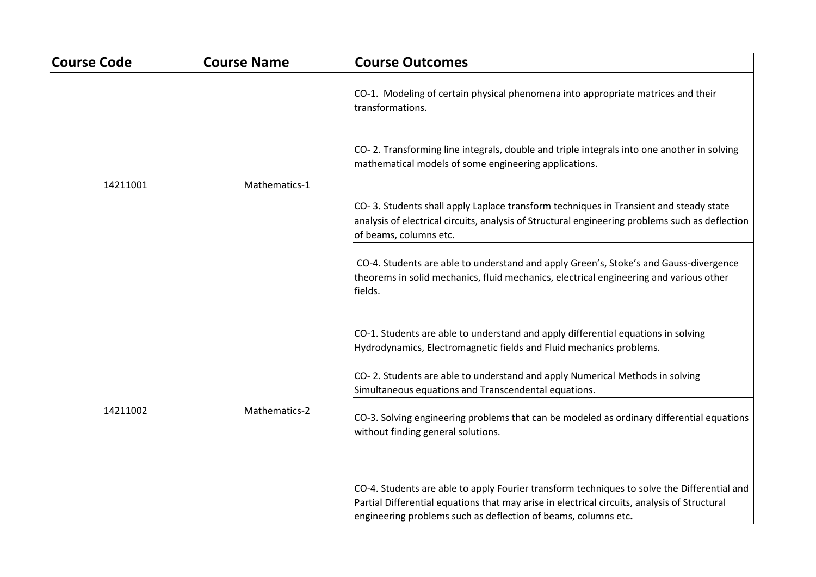| <b>Course Code</b> | <b>Course Name</b> | <b>Course Outcomes</b>                                                                                                                                                                                                                                        |
|--------------------|--------------------|---------------------------------------------------------------------------------------------------------------------------------------------------------------------------------------------------------------------------------------------------------------|
|                    |                    | CO-1. Modeling of certain physical phenomena into appropriate matrices and their<br>transformations.                                                                                                                                                          |
|                    |                    | CO-2. Transforming line integrals, double and triple integrals into one another in solving<br>mathematical models of some engineering applications.                                                                                                           |
| 14211001           | Mathematics-1      |                                                                                                                                                                                                                                                               |
|                    |                    | CO-3. Students shall apply Laplace transform techniques in Transient and steady state<br>analysis of electrical circuits, analysis of Structural engineering problems such as deflection<br>of beams, columns etc.                                            |
|                    |                    | CO-4. Students are able to understand and apply Green's, Stoke's and Gauss-divergence<br>theorems in solid mechanics, fluid mechanics, electrical engineering and various other<br>fields.                                                                    |
|                    |                    |                                                                                                                                                                                                                                                               |
| 14211002           |                    | CO-1. Students are able to understand and apply differential equations in solving<br>Hydrodynamics, Electromagnetic fields and Fluid mechanics problems.                                                                                                      |
|                    | Mathematics-2      | CO-2. Students are able to understand and apply Numerical Methods in solving<br>Simultaneous equations and Transcendental equations.                                                                                                                          |
|                    |                    | CO-3. Solving engineering problems that can be modeled as ordinary differential equations<br>without finding general solutions.                                                                                                                               |
|                    |                    |                                                                                                                                                                                                                                                               |
|                    |                    | CO-4. Students are able to apply Fourier transform techniques to solve the Differential and<br>Partial Differential equations that may arise in electrical circuits, analysis of Structural<br>engineering problems such as deflection of beams, columns etc. |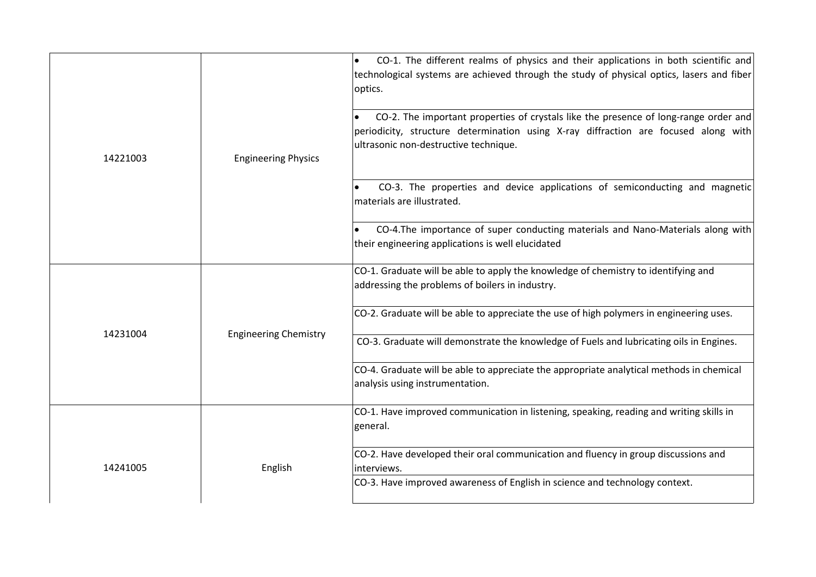|          |                              | CO-1. The different realms of physics and their applications in both scientific and<br>$\bullet$<br>technological systems are achieved through the study of physical optics, lasers and fiber<br>optics.             |
|----------|------------------------------|----------------------------------------------------------------------------------------------------------------------------------------------------------------------------------------------------------------------|
| 14221003 | <b>Engineering Physics</b>   | CO-2. The important properties of crystals like the presence of long-range order and<br>periodicity, structure determination using X-ray diffraction are focused along with<br>ultrasonic non-destructive technique. |
|          |                              | CO-3. The properties and device applications of semiconducting and magnetic<br>materials are illustrated.                                                                                                            |
|          |                              | CO-4. The importance of super conducting materials and Nano-Materials along with<br>their engineering applications is well elucidated                                                                                |
|          |                              | CO-1. Graduate will be able to apply the knowledge of chemistry to identifying and<br>addressing the problems of boilers in industry.                                                                                |
| 14231004 | <b>Engineering Chemistry</b> | CO-2. Graduate will be able to appreciate the use of high polymers in engineering uses.                                                                                                                              |
|          |                              | CO-3. Graduate will demonstrate the knowledge of Fuels and lubricating oils in Engines.                                                                                                                              |
|          |                              | CO-4. Graduate will be able to appreciate the appropriate analytical methods in chemical<br>analysis using instrumentation.                                                                                          |
|          |                              | CO-1. Have improved communication in listening, speaking, reading and writing skills in<br>general.                                                                                                                  |
| 14241005 | English                      | CO-2. Have developed their oral communication and fluency in group discussions and<br>interviews.                                                                                                                    |
|          |                              | CO-3. Have improved awareness of English in science and technology context.                                                                                                                                          |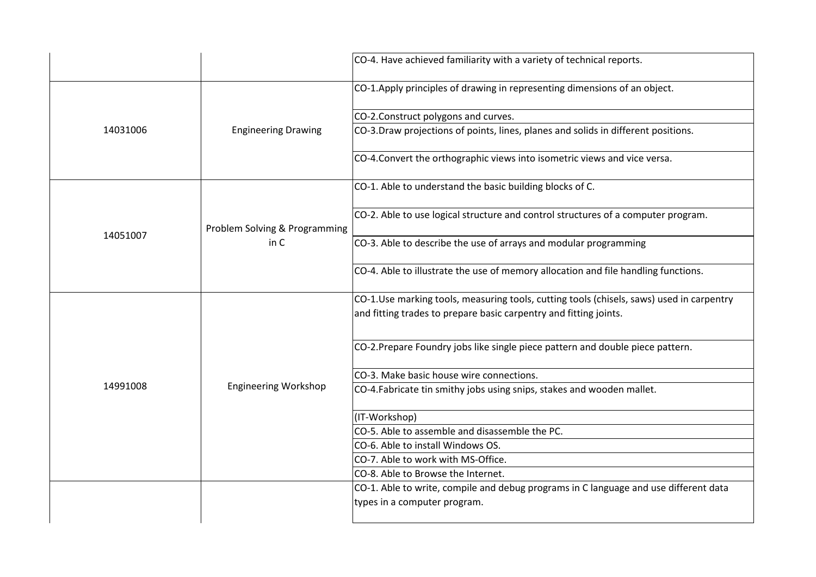|          |                               | CO-4. Have achieved familiarity with a variety of technical reports.                                                                                          |
|----------|-------------------------------|---------------------------------------------------------------------------------------------------------------------------------------------------------------|
|          |                               | CO-1.Apply principles of drawing in representing dimensions of an object.                                                                                     |
|          |                               | CO-2.Construct polygons and curves.                                                                                                                           |
| 14031006 | <b>Engineering Drawing</b>    | CO-3.Draw projections of points, lines, planes and solids in different positions.                                                                             |
|          |                               | CO-4. Convert the orthographic views into isometric views and vice versa.                                                                                     |
|          |                               | CO-1. Able to understand the basic building blocks of C.                                                                                                      |
|          | Problem Solving & Programming | CO-2. Able to use logical structure and control structures of a computer program.                                                                             |
| 14051007 | in C                          | CO-3. Able to describe the use of arrays and modular programming                                                                                              |
|          |                               | CO-4. Able to illustrate the use of memory allocation and file handling functions.                                                                            |
|          |                               | CO-1.Use marking tools, measuring tools, cutting tools (chisels, saws) used in carpentry<br>and fitting trades to prepare basic carpentry and fitting joints. |
|          | <b>Engineering Workshop</b>   | CO-2. Prepare Foundry jobs like single piece pattern and double piece pattern.                                                                                |
|          |                               | CO-3. Make basic house wire connections.                                                                                                                      |
| 14991008 |                               | CO-4.Fabricate tin smithy jobs using snips, stakes and wooden mallet.                                                                                         |
|          |                               | (IT-Workshop)                                                                                                                                                 |
|          |                               | CO-5. Able to assemble and disassemble the PC.                                                                                                                |
|          |                               | CO-6. Able to install Windows OS.                                                                                                                             |
|          |                               | CO-7. Able to work with MS-Office.                                                                                                                            |
|          |                               | CO-8. Able to Browse the Internet.                                                                                                                            |
|          |                               | CO-1. Able to write, compile and debug programs in C language and use different data                                                                          |
|          |                               | types in a computer program.                                                                                                                                  |
|          |                               |                                                                                                                                                               |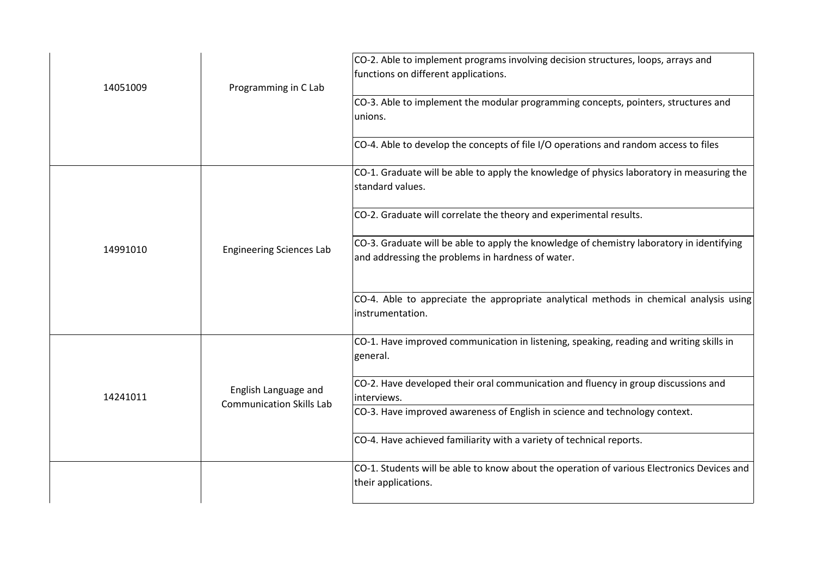| 14051009 | Programming in C Lab                                    | CO-2. Able to implement programs involving decision structures, loops, arrays and<br>functions on different applications.<br>CO-3. Able to implement the modular programming concepts, pointers, structures and<br>unions. |
|----------|---------------------------------------------------------|----------------------------------------------------------------------------------------------------------------------------------------------------------------------------------------------------------------------------|
|          |                                                         | CO-4. Able to develop the concepts of file I/O operations and random access to files                                                                                                                                       |
|          |                                                         | CO-1. Graduate will be able to apply the knowledge of physics laboratory in measuring the<br>standard values.                                                                                                              |
|          |                                                         | CO-2. Graduate will correlate the theory and experimental results.                                                                                                                                                         |
| 14991010 | <b>Engineering Sciences Lab</b>                         | CO-3. Graduate will be able to apply the knowledge of chemistry laboratory in identifying<br>and addressing the problems in hardness of water.                                                                             |
|          |                                                         | CO-4. Able to appreciate the appropriate analytical methods in chemical analysis using<br>instrumentation.                                                                                                                 |
|          |                                                         | CO-1. Have improved communication in listening, speaking, reading and writing skills in<br>general.                                                                                                                        |
| 14241011 | English Language and<br><b>Communication Skills Lab</b> | CO-2. Have developed their oral communication and fluency in group discussions and<br>interviews.                                                                                                                          |
|          |                                                         | CO-3. Have improved awareness of English in science and technology context.                                                                                                                                                |
|          |                                                         | CO-4. Have achieved familiarity with a variety of technical reports.                                                                                                                                                       |
|          |                                                         | CO-1. Students will be able to know about the operation of various Electronics Devices and<br>their applications.                                                                                                          |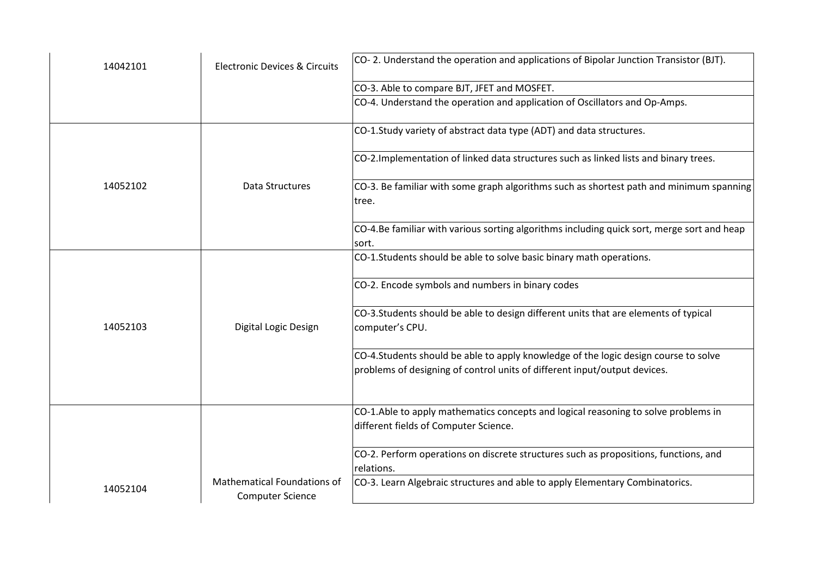| 14042101 | <b>Electronic Devices &amp; Circuits</b>                      | CO-2. Understand the operation and applications of Bipolar Junction Transistor (BJT).                                                                            |
|----------|---------------------------------------------------------------|------------------------------------------------------------------------------------------------------------------------------------------------------------------|
|          |                                                               | CO-3. Able to compare BJT, JFET and MOSFET.                                                                                                                      |
|          |                                                               | CO-4. Understand the operation and application of Oscillators and Op-Amps.                                                                                       |
|          |                                                               | CO-1.Study variety of abstract data type (ADT) and data structures.                                                                                              |
|          |                                                               | CO-2. Implementation of linked data structures such as linked lists and binary trees.                                                                            |
| 14052102 | <b>Data Structures</b>                                        | CO-3. Be familiar with some graph algorithms such as shortest path and minimum spanning<br>tree.                                                                 |
|          |                                                               | CO-4.Be familiar with various sorting algorithms including quick sort, merge sort and heap<br>sort.                                                              |
|          |                                                               | CO-1.Students should be able to solve basic binary math operations.                                                                                              |
|          |                                                               | CO-2. Encode symbols and numbers in binary codes                                                                                                                 |
| 14052103 | Digital Logic Design                                          | CO-3.Students should be able to design different units that are elements of typical<br>computer's CPU.                                                           |
|          |                                                               | CO-4.Students should be able to apply knowledge of the logic design course to solve<br>problems of designing of control units of different input/output devices. |
|          |                                                               | CO-1.Able to apply mathematics concepts and logical reasoning to solve problems in<br>different fields of Computer Science.                                      |
|          |                                                               | CO-2. Perform operations on discrete structures such as propositions, functions, and<br>relations.                                                               |
| 14052104 | <b>Mathematical Foundations of</b><br><b>Computer Science</b> | CO-3. Learn Algebraic structures and able to apply Elementary Combinatorics.                                                                                     |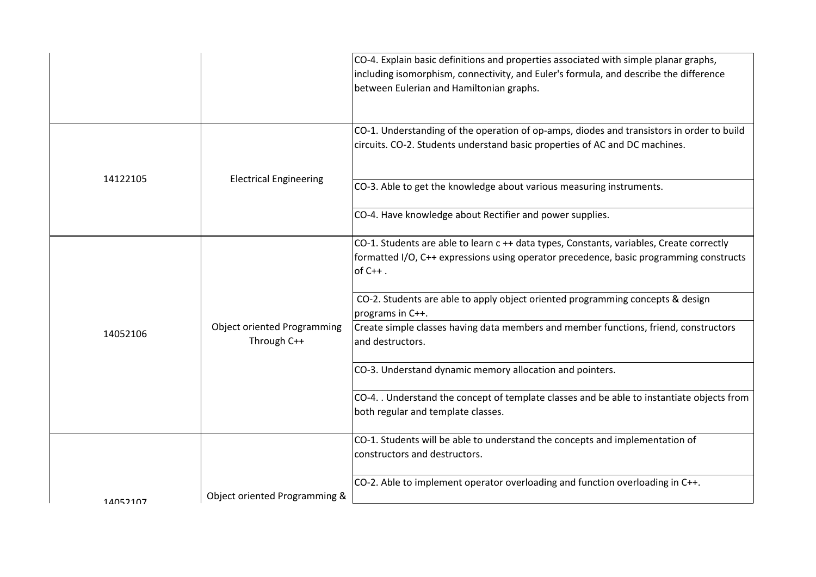|          |                                                   | CO-4. Explain basic definitions and properties associated with simple planar graphs,<br>including isomorphism, connectivity, and Euler's formula, and describe the difference<br>between Eulerian and Hamiltonian graphs. |
|----------|---------------------------------------------------|---------------------------------------------------------------------------------------------------------------------------------------------------------------------------------------------------------------------------|
|          |                                                   | CO-1. Understanding of the operation of op-amps, diodes and transistors in order to build<br>circuits. CO-2. Students understand basic properties of AC and DC machines.                                                  |
| 14122105 | <b>Electrical Engineering</b>                     | CO-3. Able to get the knowledge about various measuring instruments.                                                                                                                                                      |
|          |                                                   | CO-4. Have knowledge about Rectifier and power supplies.                                                                                                                                                                  |
|          |                                                   | CO-1. Students are able to learn c ++ data types, Constants, variables, Create correctly<br>formatted I/O, C++ expressions using operator precedence, basic programming constructs<br>$of C++$ .                          |
|          |                                                   | CO-2. Students are able to apply object oriented programming concepts & design<br>programs in C++.                                                                                                                        |
| 14052106 | <b>Object oriented Programming</b><br>Through C++ | Create simple classes having data members and member functions, friend, constructors<br>and destructors.                                                                                                                  |
|          |                                                   | CO-3. Understand dynamic memory allocation and pointers.                                                                                                                                                                  |
|          |                                                   | CO-4. . Understand the concept of template classes and be able to instantiate objects from<br>both regular and template classes.                                                                                          |
|          |                                                   | CO-1. Students will be able to understand the concepts and implementation of<br>constructors and destructors.                                                                                                             |
| 14052107 | Object oriented Programming &                     | CO-2. Able to implement operator overloading and function overloading in C++.                                                                                                                                             |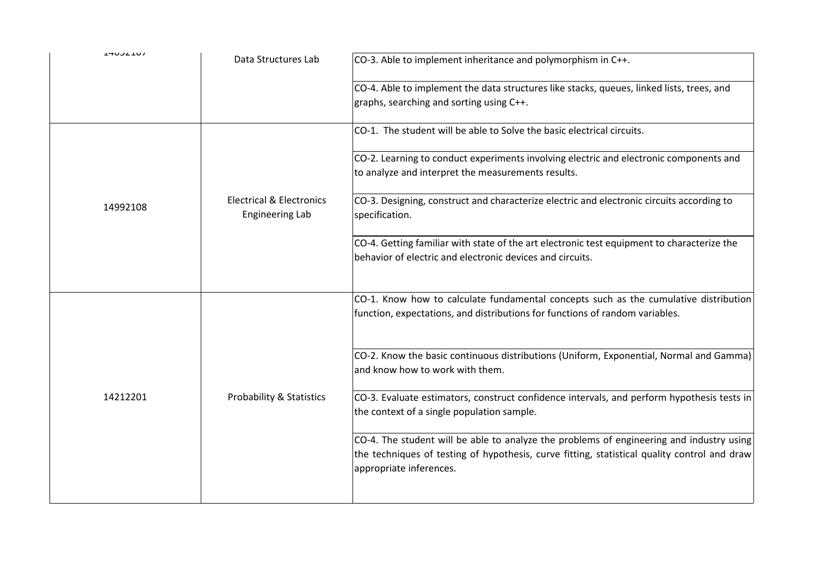| <b>THUJLIUI</b> | Data Structures Lab                                           | CO-3. Able to implement inheritance and polymorphism in C++.                                                                                                                                                        |
|-----------------|---------------------------------------------------------------|---------------------------------------------------------------------------------------------------------------------------------------------------------------------------------------------------------------------|
|                 |                                                               | CO-4. Able to implement the data structures like stacks, queues, linked lists, trees, and<br>graphs, searching and sorting using C++.                                                                               |
|                 |                                                               | CO-1. The student will be able to Solve the basic electrical circuits.                                                                                                                                              |
|                 |                                                               | CO-2. Learning to conduct experiments involving electric and electronic components and<br>to analyze and interpret the measurements results.                                                                        |
| 14992108        | <b>Electrical &amp; Electronics</b><br><b>Engineering Lab</b> | CO-3. Designing, construct and characterize electric and electronic circuits according to<br>specification.                                                                                                         |
|                 |                                                               | CO-4. Getting familiar with state of the art electronic test equipment to characterize the<br>behavior of electric and electronic devices and circuits.                                                             |
|                 |                                                               | CO-1. Know how to calculate fundamental concepts such as the cumulative distribution<br>function, expectations, and distributions for functions of random variables.                                                |
|                 |                                                               | CO-2. Know the basic continuous distributions (Uniform, Exponential, Normal and Gamma)<br>and know how to work with them.                                                                                           |
| 14212201        | <b>Probability &amp; Statistics</b>                           | CO-3. Evaluate estimators, construct confidence intervals, and perform hypothesis tests in<br>the context of a single population sample.                                                                            |
|                 |                                                               | CO-4. The student will be able to analyze the problems of engineering and industry using<br>the techniques of testing of hypothesis, curve fitting, statistical quality control and draw<br>appropriate inferences. |
|                 |                                                               |                                                                                                                                                                                                                     |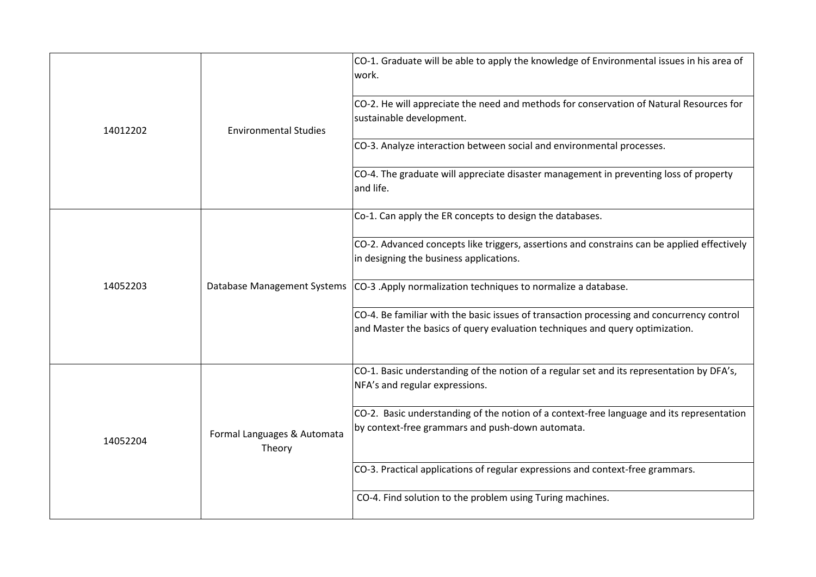| 14012202 | <b>Environmental Studies</b>          | CO-1. Graduate will be able to apply the knowledge of Environmental issues in his area of<br>work.                                                                        |
|----------|---------------------------------------|---------------------------------------------------------------------------------------------------------------------------------------------------------------------------|
|          |                                       | CO-2. He will appreciate the need and methods for conservation of Natural Resources for<br>sustainable development.                                                       |
|          |                                       | CO-3. Analyze interaction between social and environmental processes.                                                                                                     |
|          |                                       | CO-4. The graduate will appreciate disaster management in preventing loss of property<br>and life.                                                                        |
|          |                                       | Co-1. Can apply the ER concepts to design the databases.                                                                                                                  |
|          | Database Management Systems           | CO-2. Advanced concepts like triggers, assertions and constrains can be applied effectively<br>in designing the business applications.                                    |
| 14052203 |                                       | CO-3 .Apply normalization techniques to normalize a database.                                                                                                             |
|          |                                       | CO-4. Be familiar with the basic issues of transaction processing and concurrency control<br>and Master the basics of query evaluation techniques and query optimization. |
|          |                                       | CO-1. Basic understanding of the notion of a regular set and its representation by DFA's,<br>NFA's and regular expressions.                                               |
| 14052204 | Formal Languages & Automata<br>Theory | CO-2. Basic understanding of the notion of a context-free language and its representation<br>by context-free grammars and push-down automata.                             |
|          |                                       | CO-3. Practical applications of regular expressions and context-free grammars.                                                                                            |
|          |                                       | CO-4. Find solution to the problem using Turing machines.                                                                                                                 |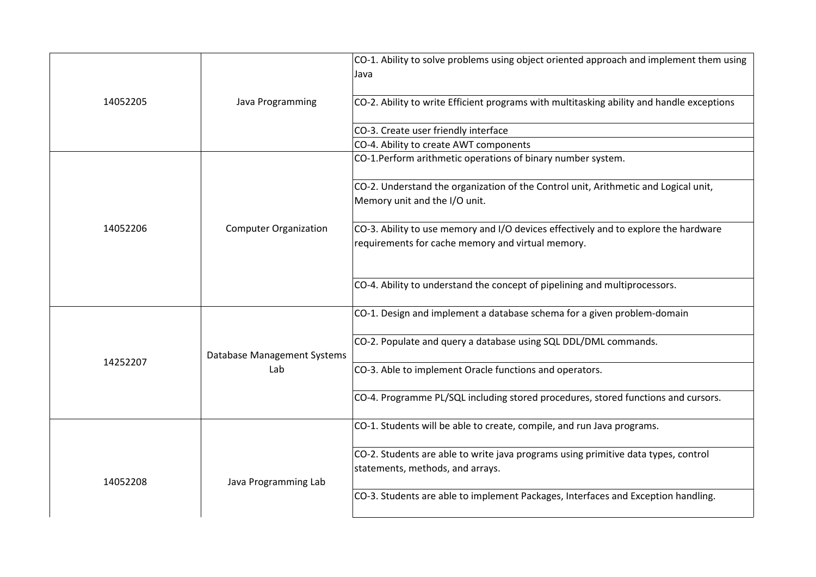|          |                              | CO-1. Ability to solve problems using object oriented approach and implement them using<br>Java                                          |
|----------|------------------------------|------------------------------------------------------------------------------------------------------------------------------------------|
| 14052205 | Java Programming             | CO-2. Ability to write Efficient programs with multitasking ability and handle exceptions                                                |
|          |                              | CO-3. Create user friendly interface                                                                                                     |
|          |                              | CO-4. Ability to create AWT components                                                                                                   |
|          |                              | CO-1.Perform arithmetic operations of binary number system.                                                                              |
|          |                              | CO-2. Understand the organization of the Control unit, Arithmetic and Logical unit,<br>Memory unit and the I/O unit.                     |
| 14052206 | <b>Computer Organization</b> | CO-3. Ability to use memory and I/O devices effectively and to explore the hardware<br>requirements for cache memory and virtual memory. |
|          |                              | CO-4. Ability to understand the concept of pipelining and multiprocessors.                                                               |
|          |                              | CO-1. Design and implement a database schema for a given problem-domain                                                                  |
| 14252207 | Database Management Systems  | CO-2. Populate and query a database using SQL DDL/DML commands.                                                                          |
|          | Lab                          | CO-3. Able to implement Oracle functions and operators.                                                                                  |
|          |                              | CO-4. Programme PL/SQL including stored procedures, stored functions and cursors.                                                        |
|          |                              | CO-1. Students will be able to create, compile, and run Java programs.                                                                   |
| 14052208 | Java Programming Lab         | CO-2. Students are able to write java programs using primitive data types, control<br>statements, methods, and arrays.                   |
|          |                              | CO-3. Students are able to implement Packages, Interfaces and Exception handling.                                                        |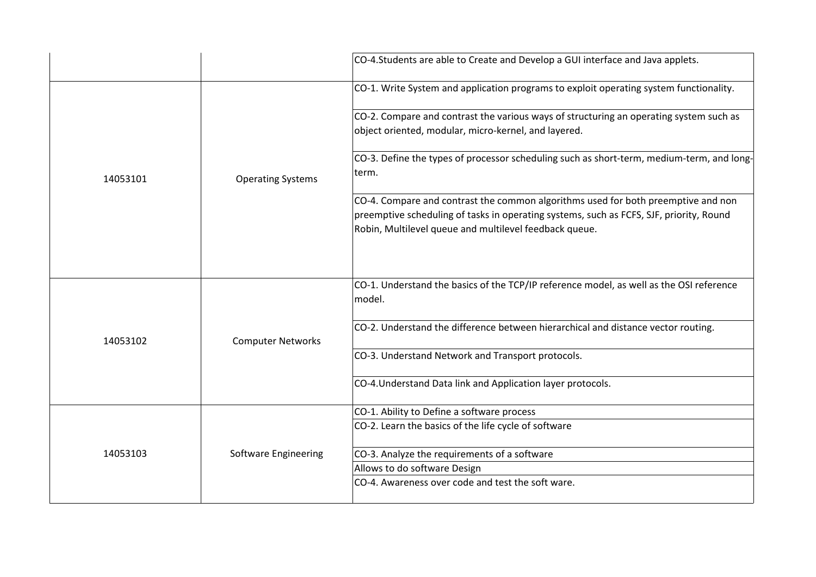|          |                             | CO-4. Students are able to Create and Develop a GUI interface and Java applets.                                                                                                                                                        |
|----------|-----------------------------|----------------------------------------------------------------------------------------------------------------------------------------------------------------------------------------------------------------------------------------|
|          | <b>Operating Systems</b>    | CO-1. Write System and application programs to exploit operating system functionality.                                                                                                                                                 |
|          |                             | CO-2. Compare and contrast the various ways of structuring an operating system such as<br>object oriented, modular, micro-kernel, and layered.                                                                                         |
| 14053101 |                             | CO-3. Define the types of processor scheduling such as short-term, medium-term, and long-<br>term.                                                                                                                                     |
|          |                             | CO-4. Compare and contrast the common algorithms used for both preemptive and non<br>preemptive scheduling of tasks in operating systems, such as FCFS, SJF, priority, Round<br>Robin, Multilevel queue and multilevel feedback queue. |
| 14053102 | <b>Computer Networks</b>    | CO-1. Understand the basics of the TCP/IP reference model, as well as the OSI reference<br>model.                                                                                                                                      |
|          |                             | CO-2. Understand the difference between hierarchical and distance vector routing.                                                                                                                                                      |
|          |                             | CO-3. Understand Network and Transport protocols.                                                                                                                                                                                      |
|          |                             | CO-4. Understand Data link and Application layer protocols.                                                                                                                                                                            |
| 14053103 | <b>Software Engineering</b> | CO-1. Ability to Define a software process<br>CO-2. Learn the basics of the life cycle of software                                                                                                                                     |
|          |                             | CO-3. Analyze the requirements of a software                                                                                                                                                                                           |
|          |                             | Allows to do software Design<br>CO-4. Awareness over code and test the soft ware.                                                                                                                                                      |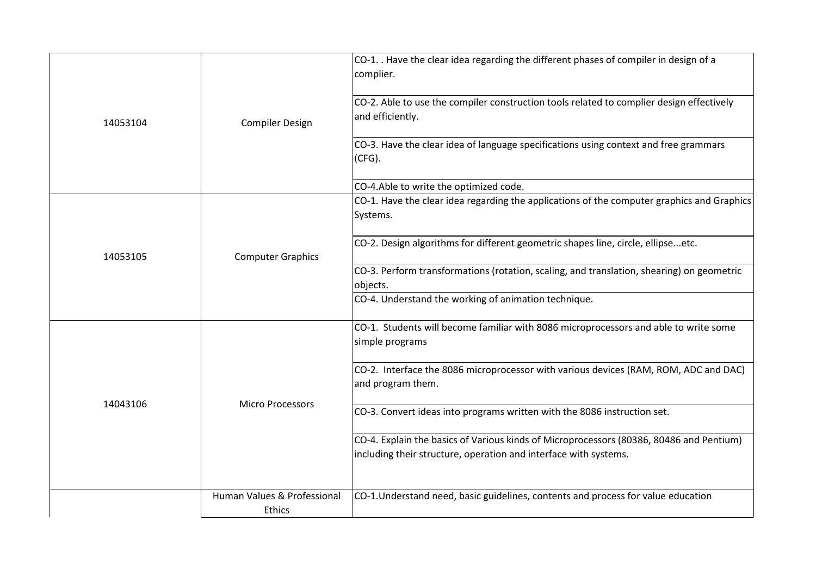| 14053104 | <b>Compiler Design</b>      | CO-1. . Have the clear idea regarding the different phases of compiler in design of a<br>complier.                                                          |
|----------|-----------------------------|-------------------------------------------------------------------------------------------------------------------------------------------------------------|
|          |                             | CO-2. Able to use the compiler construction tools related to complier design effectively<br>and efficiently.                                                |
|          |                             | CO-3. Have the clear idea of language specifications using context and free grammars<br>$ $ (CFG).                                                          |
|          |                             | CO-4.Able to write the optimized code.                                                                                                                      |
|          | <b>Computer Graphics</b>    | CO-1. Have the clear idea regarding the applications of the computer graphics and Graphics<br>Systems.                                                      |
| 14053105 |                             | CO-2. Design algorithms for different geometric shapes line, circle, ellipseetc.                                                                            |
|          |                             | CO-3. Perform transformations (rotation, scaling, and translation, shearing) on geometric<br>objects.                                                       |
|          |                             | CO-4. Understand the working of animation technique.                                                                                                        |
| 14043106 | <b>Micro Processors</b>     | CO-1. Students will become familiar with 8086 microprocessors and able to write some<br>simple programs                                                     |
|          |                             | CO-2. Interface the 8086 microprocessor with various devices (RAM, ROM, ADC and DAC)<br>and program them.                                                   |
|          |                             | CO-3. Convert ideas into programs written with the 8086 instruction set.                                                                                    |
|          |                             | CO-4. Explain the basics of Various kinds of Microprocessors (80386, 80486 and Pentium)<br>including their structure, operation and interface with systems. |
|          |                             |                                                                                                                                                             |
|          | Human Values & Professional | CO-1. Understand need, basic guidelines, contents and process for value education                                                                           |
|          | Ethics                      |                                                                                                                                                             |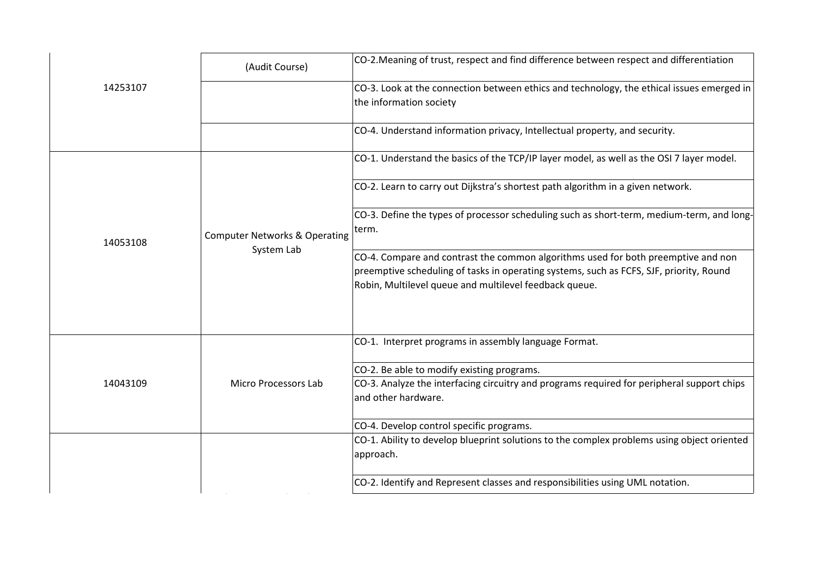|          | (Audit Course)                                         | CO-2. Meaning of trust, respect and find difference between respect and differentiation                                                                                                                                                |
|----------|--------------------------------------------------------|----------------------------------------------------------------------------------------------------------------------------------------------------------------------------------------------------------------------------------------|
| 14253107 |                                                        | CO-3. Look at the connection between ethics and technology, the ethical issues emerged in<br>the information society                                                                                                                   |
|          |                                                        | CO-4. Understand information privacy, Intellectual property, and security.                                                                                                                                                             |
|          |                                                        | CO-1. Understand the basics of the TCP/IP layer model, as well as the OSI 7 layer model.                                                                                                                                               |
|          |                                                        | CO-2. Learn to carry out Dijkstra's shortest path algorithm in a given network.                                                                                                                                                        |
| 14053108 | <b>Computer Networks &amp; Operating</b><br>System Lab | CO-3. Define the types of processor scheduling such as short-term, medium-term, and long-<br>term.                                                                                                                                     |
|          |                                                        | CO-4. Compare and contrast the common algorithms used for both preemptive and non<br>preemptive scheduling of tasks in operating systems, such as FCFS, SJF, priority, Round<br>Robin, Multilevel queue and multilevel feedback queue. |
|          |                                                        | CO-1. Interpret programs in assembly language Format.                                                                                                                                                                                  |
|          |                                                        | CO-2. Be able to modify existing programs.                                                                                                                                                                                             |
| 14043109 | <b>Micro Processors Lab</b>                            | CO-3. Analyze the interfacing circuitry and programs required for peripheral support chips<br>and other hardware.                                                                                                                      |
|          |                                                        | CO-4. Develop control specific programs.                                                                                                                                                                                               |
|          |                                                        | CO-1. Ability to develop blueprint solutions to the complex problems using object oriented<br>approach.                                                                                                                                |
|          |                                                        | CO-2. Identify and Represent classes and responsibilities using UML notation.                                                                                                                                                          |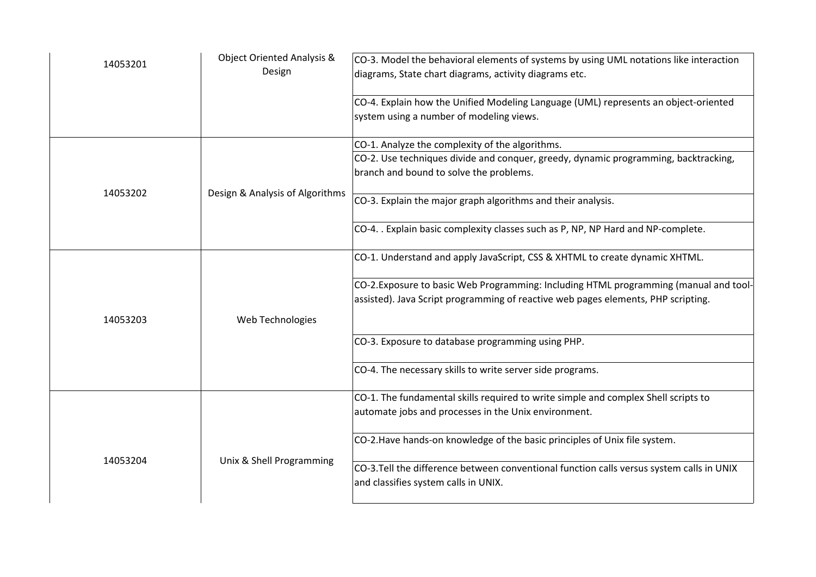| 14053201 | <b>Object Oriented Analysis &amp;</b><br>Design | $ $ CO-3. Model the behavioral elements of systems by using UML notations like interaction<br>diagrams, State chart diagrams, activity diagrams etc.                       |
|----------|-------------------------------------------------|----------------------------------------------------------------------------------------------------------------------------------------------------------------------------|
|          |                                                 | CO-4. Explain how the Unified Modeling Language (UML) represents an object-oriented<br>system using a number of modeling views.                                            |
|          |                                                 | CO-1. Analyze the complexity of the algorithms.                                                                                                                            |
|          |                                                 | CO-2. Use techniques divide and conquer, greedy, dynamic programming, backtracking,<br>branch and bound to solve the problems.                                             |
| 14053202 | Design & Analysis of Algorithms                 | CO-3. Explain the major graph algorithms and their analysis.                                                                                                               |
|          |                                                 | CO-4. . Explain basic complexity classes such as P, NP, NP Hard and NP-complete.                                                                                           |
|          |                                                 | CO-1. Understand and apply JavaScript, CSS & XHTML to create dynamic XHTML.                                                                                                |
| 14053203 | Web Technologies                                | CO-2. Exposure to basic Web Programming: Including HTML programming (manual and tool-<br>assisted). Java Script programming of reactive web pages elements, PHP scripting. |
|          |                                                 | CO-3. Exposure to database programming using PHP.                                                                                                                          |
|          |                                                 | CO-4. The necessary skills to write server side programs.                                                                                                                  |
|          |                                                 | CO-1. The fundamental skills required to write simple and complex Shell scripts to<br>automate jobs and processes in the Unix environment.                                 |
| 14053204 | Unix & Shell Programming                        | CO-2. Have hands-on knowledge of the basic principles of Unix file system.                                                                                                 |
|          |                                                 | CO-3.Tell the difference between conventional function calls versus system calls in UNIX<br>and classifies system calls in UNIX.                                           |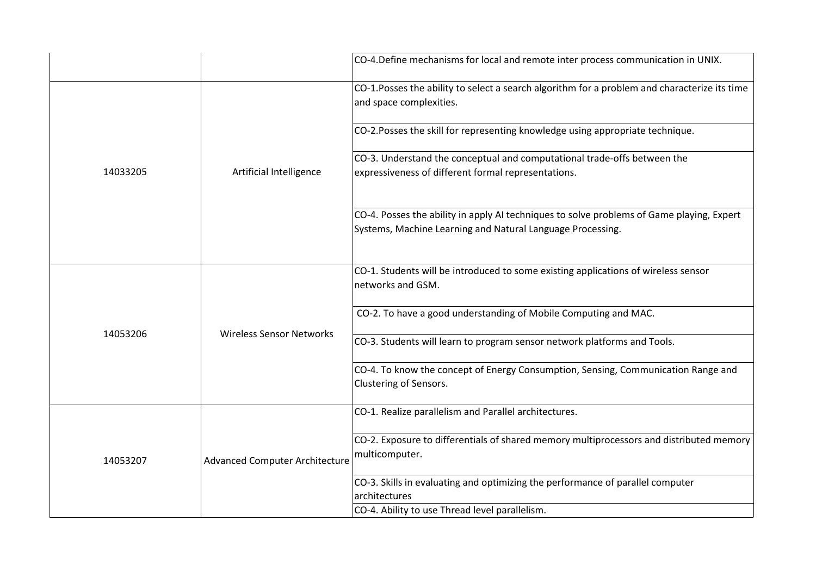|          |                                       | CO-4. Define mechanisms for local and remote inter process communication in UNIX.                                                                       |
|----------|---------------------------------------|---------------------------------------------------------------------------------------------------------------------------------------------------------|
|          |                                       | CO-1.Posses the ability to select a search algorithm for a problem and characterize its time<br>and space complexities.                                 |
|          |                                       | CO-2. Posses the skill for representing knowledge using appropriate technique.                                                                          |
| 14033205 | Artificial Intelligence               | CO-3. Understand the conceptual and computational trade-offs between the<br>expressiveness of different formal representations.                         |
|          |                                       | CO-4. Posses the ability in apply AI techniques to solve problems of Game playing, Expert<br>Systems, Machine Learning and Natural Language Processing. |
| 14053206 |                                       | CO-1. Students will be introduced to some existing applications of wireless sensor<br>networks and GSM.                                                 |
|          |                                       | CO-2. To have a good understanding of Mobile Computing and MAC.                                                                                         |
|          | <b>Wireless Sensor Networks</b>       | CO-3. Students will learn to program sensor network platforms and Tools.                                                                                |
|          |                                       | CO-4. To know the concept of Energy Consumption, Sensing, Communication Range and<br>Clustering of Sensors.                                             |
| 14053207 | <b>Advanced Computer Architecture</b> | CO-1. Realize parallelism and Parallel architectures.                                                                                                   |
|          |                                       | CO-2. Exposure to differentials of shared memory multiprocessors and distributed memory<br>multicomputer.                                               |
|          |                                       | CO-3. Skills in evaluating and optimizing the performance of parallel computer<br>architectures                                                         |
|          |                                       | CO-4. Ability to use Thread level parallelism.                                                                                                          |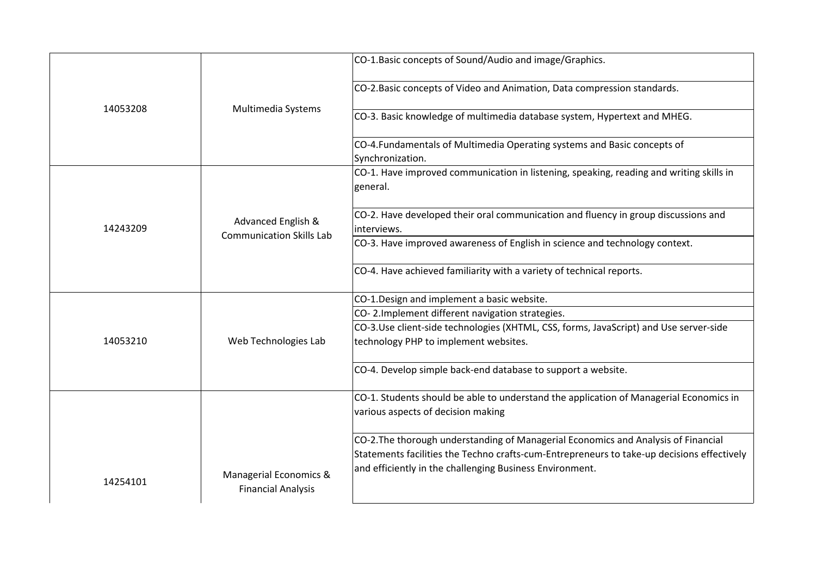|          |                                 | CO-1. Basic concepts of Sound/Audio and image/Graphics.                                                                                                                                                                                      |
|----------|---------------------------------|----------------------------------------------------------------------------------------------------------------------------------------------------------------------------------------------------------------------------------------------|
|          |                                 | CO-2. Basic concepts of Video and Animation, Data compression standards.                                                                                                                                                                     |
| 14053208 | Multimedia Systems              | CO-3. Basic knowledge of multimedia database system, Hypertext and MHEG.                                                                                                                                                                     |
|          |                                 | CO-4. Fundamentals of Multimedia Operating systems and Basic concepts of<br>Synchronization.                                                                                                                                                 |
|          |                                 | CO-1. Have improved communication in listening, speaking, reading and writing skills in<br>general.                                                                                                                                          |
| 14243209 | Advanced English &              | CO-2. Have developed their oral communication and fluency in group discussions and<br>interviews.                                                                                                                                            |
|          | <b>Communication Skills Lab</b> | CO-3. Have improved awareness of English in science and technology context.                                                                                                                                                                  |
|          |                                 | CO-4. Have achieved familiarity with a variety of technical reports.                                                                                                                                                                         |
|          |                                 | CO-1.Design and implement a basic website.                                                                                                                                                                                                   |
|          |                                 | CO-2. Implement different navigation strategies.                                                                                                                                                                                             |
| 14053210 | Web Technologies Lab            | CO-3.Use client-side technologies (XHTML, CSS, forms, JavaScript) and Use server-side<br>technology PHP to implement websites.                                                                                                               |
|          |                                 | CO-4. Develop simple back-end database to support a website.                                                                                                                                                                                 |
|          |                                 | CO-1. Students should be able to understand the application of Managerial Economics in<br>various aspects of decision making                                                                                                                 |
| 14254101 | Managerial Economics &          | CO-2. The thorough understanding of Managerial Economics and Analysis of Financial<br>Statements facilities the Techno crafts-cum-Entrepreneurs to take-up decisions effectively<br>and efficiently in the challenging Business Environment. |
|          | <b>Financial Analysis</b>       |                                                                                                                                                                                                                                              |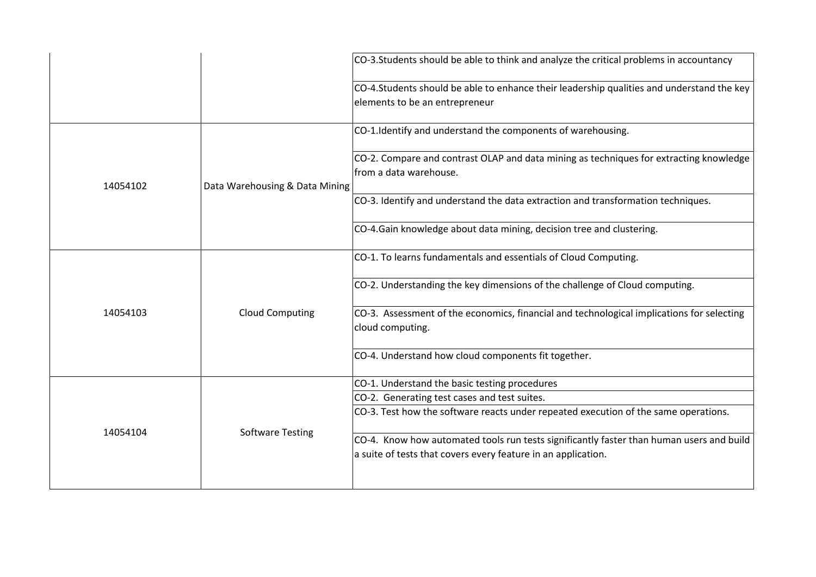|          |                                | CO-3.Students should be able to think and analyze the critical problems in accountancy                                                                    |
|----------|--------------------------------|-----------------------------------------------------------------------------------------------------------------------------------------------------------|
|          |                                | CO-4.Students should be able to enhance their leadership qualities and understand the key<br>elements to be an entrepreneur                               |
|          |                                | CO-1.Identify and understand the components of warehousing.                                                                                               |
| 14054102 | Data Warehousing & Data Mining | CO-2. Compare and contrast OLAP and data mining as techniques for extracting knowledge<br>lfrom a data warehouse.                                         |
|          |                                | CO-3. Identify and understand the data extraction and transformation techniques.                                                                          |
|          |                                | CO-4.Gain knowledge about data mining, decision tree and clustering.                                                                                      |
| 14054103 |                                | CO-1. To learns fundamentals and essentials of Cloud Computing.                                                                                           |
|          | <b>Cloud Computing</b>         | CO-2. Understanding the key dimensions of the challenge of Cloud computing.                                                                               |
|          |                                | CO-3. Assessment of the economics, financial and technological implications for selecting<br>cloud computing.                                             |
|          |                                | CO-4. Understand how cloud components fit together.                                                                                                       |
| 14054104 |                                | CO-1. Understand the basic testing procedures                                                                                                             |
|          |                                | CO-2. Generating test cases and test suites.                                                                                                              |
|          |                                | CO-3. Test how the software reacts under repeated execution of the same operations.                                                                       |
|          | <b>Software Testing</b>        | CO-4. Know how automated tools run tests significantly faster than human users and build<br>a suite of tests that covers every feature in an application. |
|          |                                |                                                                                                                                                           |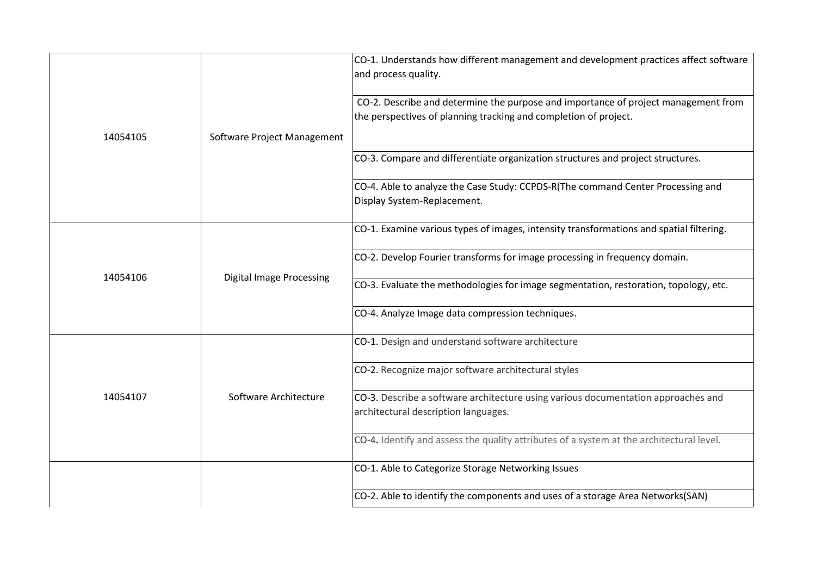|          |                                 | CO-1. Understands how different management and development practices affect software<br>and process quality.                                           |
|----------|---------------------------------|--------------------------------------------------------------------------------------------------------------------------------------------------------|
|          |                                 | CO-2. Describe and determine the purpose and importance of project management from<br>the perspectives of planning tracking and completion of project. |
| 14054105 | Software Project Management     |                                                                                                                                                        |
|          |                                 | CO-3. Compare and differentiate organization structures and project structures.                                                                        |
|          |                                 | CO-4. Able to analyze the Case Study: CCPDS-R(The command Center Processing and<br>Display System-Replacement.                                         |
|          |                                 | CO-1. Examine various types of images, intensity transformations and spatial filtering.                                                                |
|          |                                 | CO-2. Develop Fourier transforms for image processing in frequency domain.                                                                             |
| 14054106 | <b>Digital Image Processing</b> | CO-3. Evaluate the methodologies for image segmentation, restoration, topology, etc.                                                                   |
|          |                                 | CO-4. Analyze Image data compression techniques.                                                                                                       |
| 14054107 |                                 | CO-1. Design and understand software architecture                                                                                                      |
|          |                                 | CO-2. Recognize major software architectural styles                                                                                                    |
|          | Software Architecture           | CO-3. Describe a software architecture using various documentation approaches and<br>architectural description languages.                              |
|          |                                 | CO-4. Identify and assess the quality attributes of a system at the architectural level.                                                               |
|          |                                 | CO-1. Able to Categorize Storage Networking Issues                                                                                                     |
|          |                                 | CO-2. Able to identify the components and uses of a storage Area Networks(SAN)                                                                         |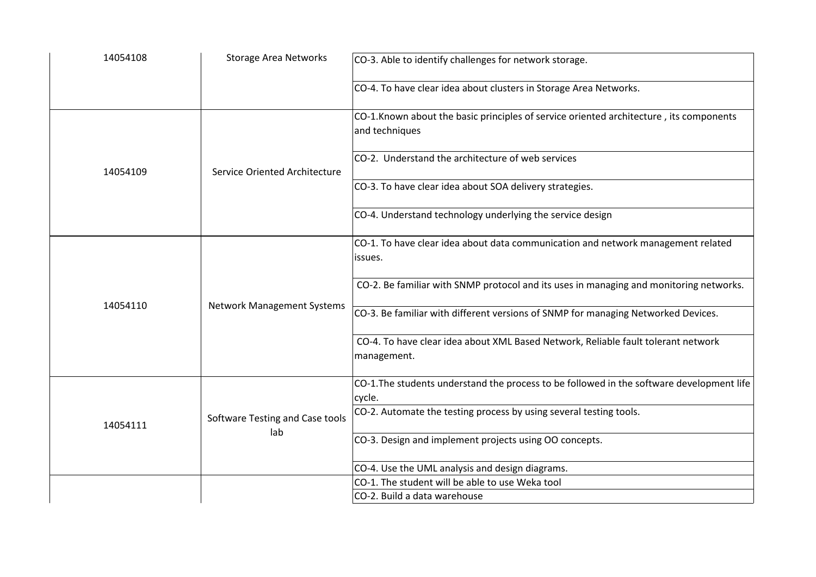| 14054108 | <b>Storage Area Networks</b>           | CO-3. Able to identify challenges for network storage.                                                                                                                      |
|----------|----------------------------------------|-----------------------------------------------------------------------------------------------------------------------------------------------------------------------------|
|          |                                        | CO-4. To have clear idea about clusters in Storage Area Networks.                                                                                                           |
|          | Service Oriented Architecture          | CO-1. Known about the basic principles of service oriented architecture, its components<br>and techniques                                                                   |
| 14054109 |                                        | CO-2. Understand the architecture of web services                                                                                                                           |
|          |                                        | CO-3. To have clear idea about SOA delivery strategies.                                                                                                                     |
|          |                                        | CO-4. Understand technology underlying the service design                                                                                                                   |
| 14054110 |                                        | CO-1. To have clear idea about data communication and network management related<br>issues.                                                                                 |
|          |                                        | CO-2. Be familiar with SNMP protocol and its uses in managing and monitoring networks.<br>CO-3. Be familiar with different versions of SNMP for managing Networked Devices. |
|          | <b>Network Management Systems</b>      |                                                                                                                                                                             |
|          |                                        | CO-4. To have clear idea about XML Based Network, Reliable fault tolerant network<br>management.                                                                            |
| 14054111 |                                        | CO-1. The students understand the process to be followed in the software development life<br>cycle.                                                                         |
|          | Software Testing and Case tools<br>lab | CO-2. Automate the testing process by using several testing tools.                                                                                                          |
|          |                                        | CO-3. Design and implement projects using OO concepts.                                                                                                                      |
|          |                                        | CO-4. Use the UML analysis and design diagrams.                                                                                                                             |
|          |                                        | CO-1. The student will be able to use Weka tool                                                                                                                             |
|          |                                        | CO-2. Build a data warehouse                                                                                                                                                |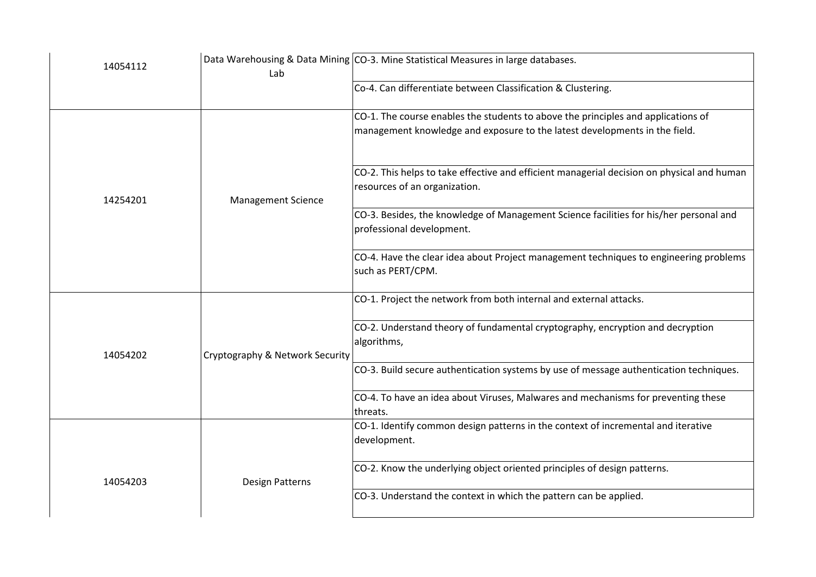| 14054112 | Lab                             | Data Warehousing & Data Mining CO-3. Mine Statistical Measures in large databases.                         |
|----------|---------------------------------|------------------------------------------------------------------------------------------------------------|
|          |                                 | Co-4. Can differentiate between Classification & Clustering.                                               |
|          |                                 | CO-1. The course enables the students to above the principles and applications of                          |
|          |                                 | management knowledge and exposure to the latest developments in the field.                                 |
|          |                                 | CO-2. This helps to take effective and efficient managerial decision on physical and human                 |
| 14254201 | <b>Management Science</b>       | resources of an organization.                                                                              |
|          |                                 | CO-3. Besides, the knowledge of Management Science facilities for his/her personal and                     |
|          |                                 | professional development.                                                                                  |
|          |                                 | CO-4. Have the clear idea about Project management techniques to engineering problems<br>such as PERT/CPM. |
|          |                                 |                                                                                                            |
|          |                                 | CO-1. Project the network from both internal and external attacks.                                         |
|          |                                 | CO-2. Understand theory of fundamental cryptography, encryption and decryption                             |
| 14054202 | Cryptography & Network Security | algorithms,                                                                                                |
|          |                                 | CO-3. Build secure authentication systems by use of message authentication techniques.                     |
|          |                                 | CO-4. To have an idea about Viruses, Malwares and mechanisms for preventing these                          |
|          |                                 | threats.<br>CO-1. Identify common design patterns in the context of incremental and iterative              |
|          |                                 | development.                                                                                               |
| 14054203 | <b>Design Patterns</b>          | CO-2. Know the underlying object oriented principles of design patterns.                                   |
|          |                                 | CO-3. Understand the context in which the pattern can be applied.                                          |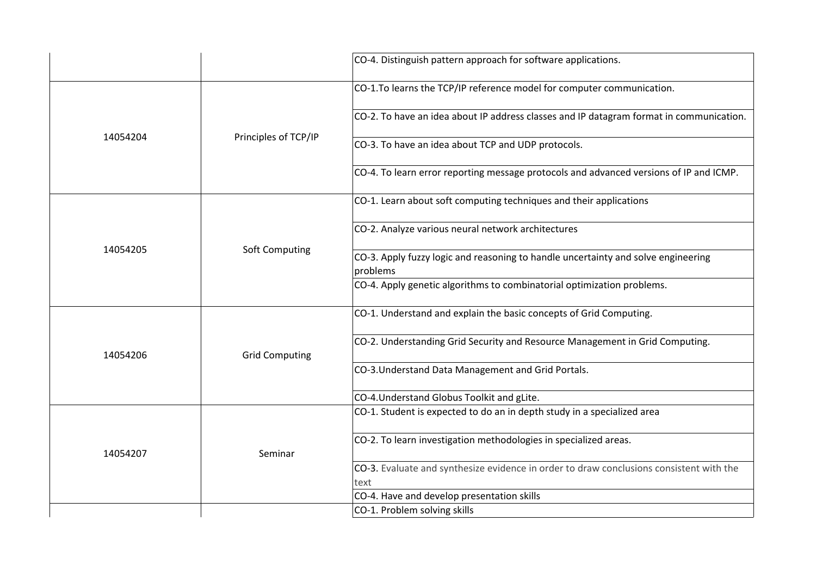|          |                       | CO-4. Distinguish pattern approach for software applications.                                   |
|----------|-----------------------|-------------------------------------------------------------------------------------------------|
| 14054204 | Principles of TCP/IP  | CO-1.To learns the TCP/IP reference model for computer communication.                           |
|          |                       | CO-2. To have an idea about IP address classes and IP datagram format in communication.         |
|          |                       | CO-3. To have an idea about TCP and UDP protocols.                                              |
|          |                       | CO-4. To learn error reporting message protocols and advanced versions of IP and ICMP.          |
|          |                       | CO-1. Learn about soft computing techniques and their applications                              |
|          | Soft Computing        | CO-2. Analyze various neural network architectures                                              |
| 14054205 |                       | CO-3. Apply fuzzy logic and reasoning to handle uncertainty and solve engineering<br>problems   |
|          |                       | CO-4. Apply genetic algorithms to combinatorial optimization problems.                          |
| 14054206 | <b>Grid Computing</b> | CO-1. Understand and explain the basic concepts of Grid Computing.                              |
|          |                       | CO-2. Understanding Grid Security and Resource Management in Grid Computing.                    |
|          |                       | CO-3. Understand Data Management and Grid Portals.                                              |
|          |                       | CO-4. Understand Globus Toolkit and gLite.                                                      |
| 14054207 | Seminar               | CO-1. Student is expected to do an in depth study in a specialized area                         |
|          |                       | CO-2. To learn investigation methodologies in specialized areas.                                |
|          |                       | CO-3. Evaluate and synthesize evidence in order to draw conclusions consistent with the<br>text |
|          |                       | CO-4. Have and develop presentation skills                                                      |
|          |                       | CO-1. Problem solving skills                                                                    |